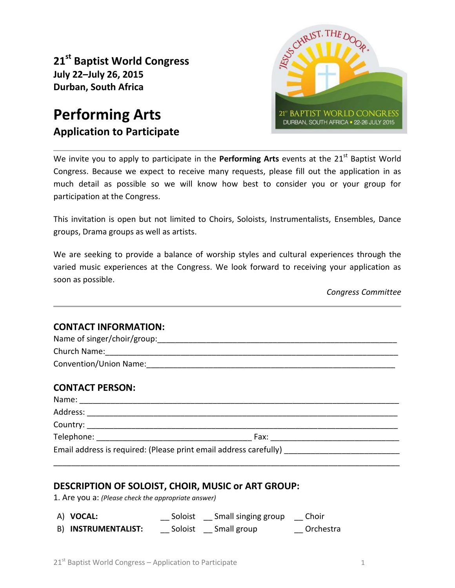**21 st Baptist World Congress July 22–July 26, 2015 Durban, South Africa**

# **Performing Arts Application to Participate**



We invite you to apply to participate in the Performing Arts events at the 21<sup>st</sup> Baptist World Congress. Because we expect to receive many requests, please fill out the application in as much detail as possible so we will know how best to consider you or your group for participation at the Congress.

This invitation is open but not limited to Choirs, Soloists, Instrumentalists, Ensembles, Dance groups, Drama groups as well as artists.

We are seeking to provide a balance of worship styles and cultural experiences through the varied music experiences at the Congress. We look forward to receiving your application as soon as possible.

*Congress Committee*

### **CONTACT INFORMATION:**

| Convention/Union Name: Convention of the Convention of the Convention of the Convention of the Convention of the Convention of the Convention of the Convention of the Convention of the Convention of the Convention of the C |  |  |  |  |  |
|--------------------------------------------------------------------------------------------------------------------------------------------------------------------------------------------------------------------------------|--|--|--|--|--|
| <b>CONTACT PERSON:</b>                                                                                                                                                                                                         |  |  |  |  |  |
|                                                                                                                                                                                                                                |  |  |  |  |  |
|                                                                                                                                                                                                                                |  |  |  |  |  |
|                                                                                                                                                                                                                                |  |  |  |  |  |
|                                                                                                                                                                                                                                |  |  |  |  |  |
|                                                                                                                                                                                                                                |  |  |  |  |  |

\_\_\_\_\_\_\_\_\_\_\_\_\_\_\_\_\_\_\_\_\_\_\_\_\_\_\_\_\_\_\_\_\_\_\_\_\_\_\_\_\_\_\_\_\_\_\_\_\_\_\_\_\_\_\_\_\_\_\_\_\_\_\_\_\_\_\_\_\_\_\_\_\_\_\_\_\_\_

# **DESCRIPTION OF SOLOIST, CHOIR, MUSIC or ART GROUP:**

1. Are you a: *(Please check the appropriate answer)*

| A) VOCAL:           | Soloist | Small singing group | Choir     |
|---------------------|---------|---------------------|-----------|
| B) INSTRUMENTALIST: | Soloist | Small group         | Orchestra |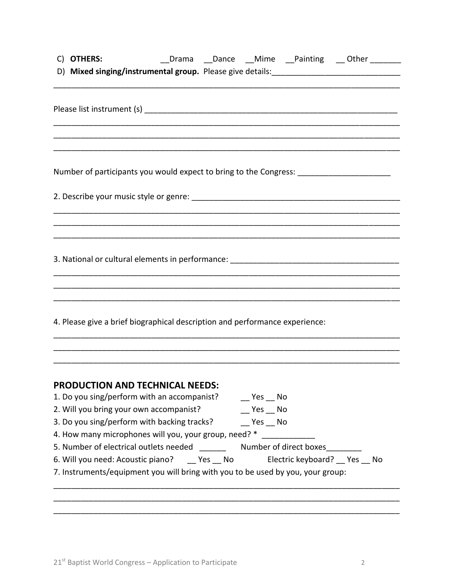| C) OTHERS:                                                                                                            |  |        |                           | __Drama __Dance __Mime __Painting __Other ______ |
|-----------------------------------------------------------------------------------------------------------------------|--|--------|---------------------------|--------------------------------------------------|
|                                                                                                                       |  |        |                           |                                                  |
|                                                                                                                       |  |        |                           |                                                  |
|                                                                                                                       |  |        |                           |                                                  |
|                                                                                                                       |  |        |                           |                                                  |
|                                                                                                                       |  |        |                           |                                                  |
| <u> 1989 - Johann Stoff, deutscher Stoff, der Stoff, der Stoff, der Stoff, der Stoff, der Stoff, der Stoff, der S</u> |  |        |                           |                                                  |
|                                                                                                                       |  |        |                           |                                                  |
| Number of participants you would expect to bring to the Congress: ______________                                      |  |        |                           |                                                  |
|                                                                                                                       |  |        |                           |                                                  |
|                                                                                                                       |  |        |                           |                                                  |
|                                                                                                                       |  |        |                           |                                                  |
|                                                                                                                       |  |        |                           |                                                  |
|                                                                                                                       |  |        |                           |                                                  |
|                                                                                                                       |  |        |                           |                                                  |
|                                                                                                                       |  |        |                           |                                                  |
|                                                                                                                       |  |        |                           |                                                  |
|                                                                                                                       |  |        |                           |                                                  |
|                                                                                                                       |  |        |                           |                                                  |
| 4. Please give a brief biographical description and performance experience:                                           |  |        |                           |                                                  |
|                                                                                                                       |  |        |                           |                                                  |
|                                                                                                                       |  |        |                           |                                                  |
|                                                                                                                       |  |        |                           |                                                  |
|                                                                                                                       |  |        |                           |                                                  |
| <b>PRODUCTION AND TECHNICAL NEEDS:</b>                                                                                |  |        |                           |                                                  |
| 1. Do you sing/perform with an accompanist?                                                                           |  | Yes No |                           |                                                  |
| 2. Will you bring your own accompanist?                                                                               |  | Yes No |                           |                                                  |
| 3. Do you sing/perform with backing tracks?                                                                           |  | Yes No |                           |                                                  |
| 4. How many microphones will you, your group, need? *                                                                 |  |        |                           |                                                  |
| 5. Number of electrical outlets needed Mumber of direct boxes                                                         |  |        |                           |                                                  |
| 6. Will you need: Acoustic piano? _____ Yes ___ No                                                                    |  |        | Electric keyboard? Yes No |                                                  |
| 7. Instruments/equipment you will bring with you to be used by you, your group:                                       |  |        |                           |                                                  |
|                                                                                                                       |  |        |                           |                                                  |
|                                                                                                                       |  |        |                           |                                                  |
|                                                                                                                       |  |        |                           |                                                  |